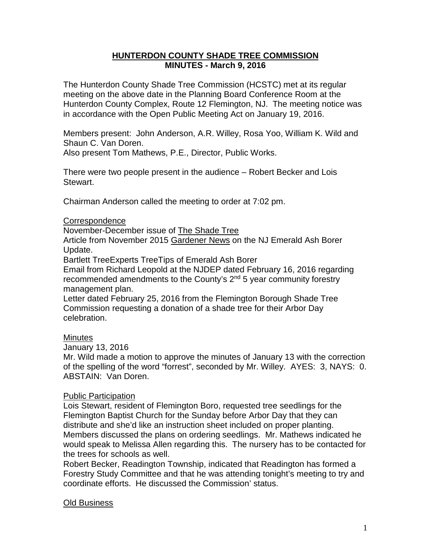### **HUNTERDON COUNTY SHADE TREE COMMISSION MINUTES - March 9, 2016**

The Hunterdon County Shade Tree Commission (HCSTC) met at its regular meeting on the above date in the Planning Board Conference Room at the Hunterdon County Complex, Route 12 Flemington, NJ. The meeting notice was in accordance with the Open Public Meeting Act on January 19, 2016.

Members present: John Anderson, A.R. Willey, Rosa Yoo, William K. Wild and Shaun C. Van Doren.

Also present Tom Mathews, P.E., Director, Public Works.

There were two people present in the audience – Robert Becker and Lois Stewart.

Chairman Anderson called the meeting to order at 7:02 pm.

## **Correspondence**

November-December issue of The Shade Tree

Article from November 2015 Gardener News on the NJ Emerald Ash Borer Update.

Bartlett TreeExperts TreeTips of Emerald Ash Borer

Email from Richard Leopold at the NJDEP dated February 16, 2016 regarding recommended amendments to the County's  $2<sup>nd</sup> 5$  year community forestry management plan.

Letter dated February 25, 2016 from the Flemington Borough Shade Tree Commission requesting a donation of a shade tree for their Arbor Day celebration.

# **Minutes**

January 13, 2016

Mr. Wild made a motion to approve the minutes of January 13 with the correction of the spelling of the word "forrest", seconded by Mr. Willey. AYES: 3, NAYS: 0. ABSTAIN: Van Doren.

### Public Participation

Lois Stewart, resident of Flemington Boro, requested tree seedlings for the Flemington Baptist Church for the Sunday before Arbor Day that they can distribute and she'd like an instruction sheet included on proper planting. Members discussed the plans on ordering seedlings. Mr. Mathews indicated he would speak to Melissa Allen regarding this. The nursery has to be contacted for the trees for schools as well.

Robert Becker, Readington Township, indicated that Readington has formed a Forestry Study Committee and that he was attending tonight's meeting to try and coordinate efforts. He discussed the Commission' status.

# Old Business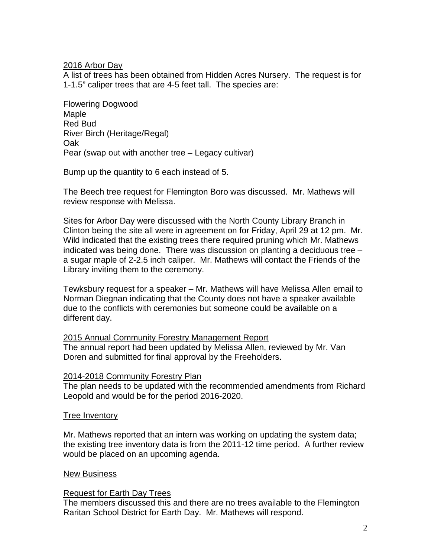### 2016 Arbor Day

A list of trees has been obtained from Hidden Acres Nursery. The request is for 1-1.5" caliper trees that are 4-5 feet tall. The species are:

Flowering Dogwood Maple Red Bud River Birch (Heritage/Regal) Oak Pear (swap out with another tree – Legacy cultivar)

Bump up the quantity to 6 each instead of 5.

The Beech tree request for Flemington Boro was discussed. Mr. Mathews will review response with Melissa.

Sites for Arbor Day were discussed with the North County Library Branch in Clinton being the site all were in agreement on for Friday, April 29 at 12 pm. Mr. Wild indicated that the existing trees there required pruning which Mr. Mathews indicated was being done. There was discussion on planting a deciduous tree – a sugar maple of 2-2.5 inch caliper. Mr. Mathews will contact the Friends of the Library inviting them to the ceremony.

Tewksbury request for a speaker – Mr. Mathews will have Melissa Allen email to Norman Diegnan indicating that the County does not have a speaker available due to the conflicts with ceremonies but someone could be available on a different day.

### 2015 Annual Community Forestry Management Report

The annual report had been updated by Melissa Allen, reviewed by Mr. Van Doren and submitted for final approval by the Freeholders.

### 2014-2018 Community Forestry Plan

The plan needs to be updated with the recommended amendments from Richard Leopold and would be for the period 2016-2020.

### Tree Inventory

Mr. Mathews reported that an intern was working on updating the system data; the existing tree inventory data is from the 2011-12 time period. A further review would be placed on an upcoming agenda.

### New Business

### Request for Earth Day Trees

The members discussed this and there are no trees available to the Flemington Raritan School District for Earth Day. Mr. Mathews will respond.